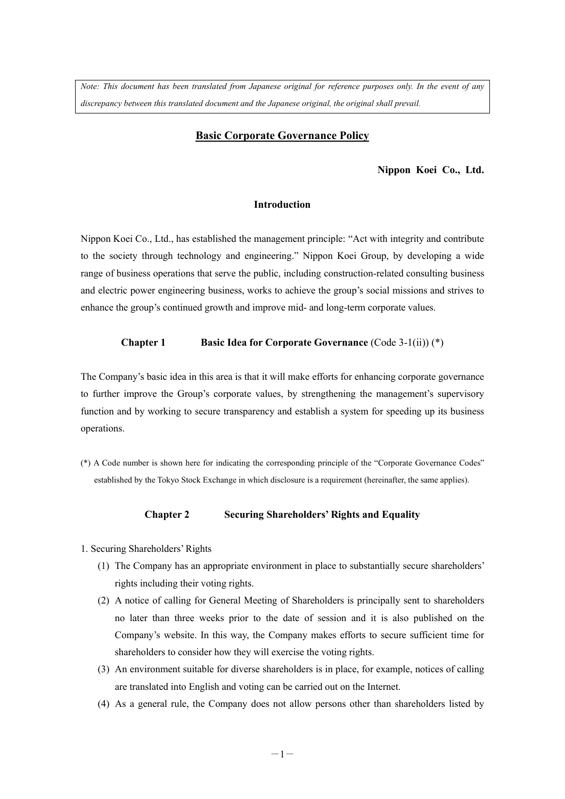*Note: This document has been translated from Japanese original for reference purposes only. In the event of any discrepancy between this translated document and the Japanese original, the original shall prevail.*

### **Basic Corporate Governance Policy**

### **Nippon Koei Co., Ltd.**

### **Introduction**

Nippon Koei Co., Ltd., has established the management principle: "Act with integrity and contribute to the society through technology and engineering." Nippon Koei Group, by developing a wide range of business operations that serve the public, including construction-related consulting business and electric power engineering business, works to achieve the group's social missions and strives to enhance the group's continued growth and improve mid- and long-term corporate values.

#### **Chapter 1 Basic Idea for Corporate Governance** (Code 3-1(ii)) (\*)

The Company's basic idea in this area is that it will make efforts for enhancing corporate governance to further improve the Group's corporate values, by strengthening the management's supervisory function and by working to secure transparency and establish a system for speeding up its business operations.

(\*) A Code number is shown here for indicating the corresponding principle of the "Corporate Governance Codes" established by the Tokyo Stock Exchange in which disclosure is a requirement (hereinafter, the same applies).

## **Chapter 2 Securing Shareholders' Rights and Equality**

- 1. Securing Shareholders' Rights
	- (1) The Company has an appropriate environment in place to substantially secure shareholders' rights including their voting rights.
	- (2) A notice of calling for General Meeting of Shareholders is principally sent to shareholders no later than three weeks prior to the date of session and it is also published on the Company's website. In this way, the Company makes efforts to secure sufficient time for shareholders to consider how they will exercise the voting rights.
	- (3) An environment suitable for diverse shareholders is in place, for example, notices of calling are translated into English and voting can be carried out on the Internet.
	- (4) As a general rule, the Company does not allow persons other than shareholders listed by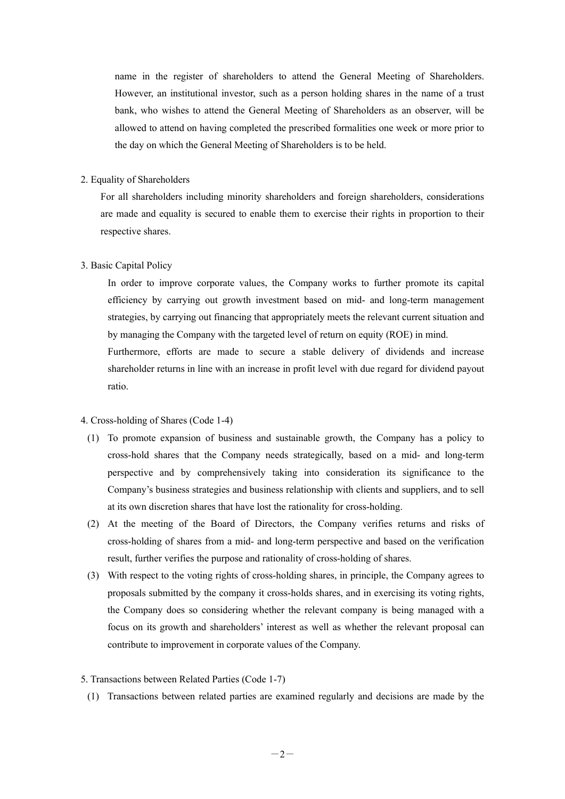name in the register of shareholders to attend the General Meeting of Shareholders. However, an institutional investor, such as a person holding shares in the name of a trust bank, who wishes to attend the General Meeting of Shareholders as an observer, will be allowed to attend on having completed the prescribed formalities one week or more prior to the day on which the General Meeting of Shareholders is to be held.

### 2. Equality of Shareholders

For all shareholders including minority shareholders and foreign shareholders, considerations are made and equality is secured to enable them to exercise their rights in proportion to their respective shares.

### 3. Basic Capital Policy

In order to improve corporate values, the Company works to further promote its capital efficiency by carrying out growth investment based on mid- and long-term management strategies, by carrying out financing that appropriately meets the relevant current situation and by managing the Company with the targeted level of return on equity (ROE) in mind. Furthermore, efforts are made to secure a stable delivery of dividends and increase shareholder returns in line with an increase in profit level with due regard for dividend payout

ratio.

### 4. Cross-holding of Shares (Code 1-4)

- (1) To promote expansion of business and sustainable growth, the Company has a policy to cross-hold shares that the Company needs strategically, based on a mid- and long-term perspective and by comprehensively taking into consideration its significance to the Company's business strategies and business relationship with clients and suppliers, and to sell at its own discretion shares that have lost the rationality for cross-holding.
- (2) At the meeting of the Board of Directors, the Company verifies returns and risks of cross-holding of shares from a mid- and long-term perspective and based on the verification result, further verifies the purpose and rationality of cross-holding of shares.
- (3) With respect to the voting rights of cross-holding shares, in principle, the Company agrees to proposals submitted by the company it cross-holds shares, and in exercising its voting rights, the Company does so considering whether the relevant company is being managed with a focus on its growth and shareholders' interest as well as whether the relevant proposal can contribute to improvement in corporate values of the Company.
- 5. Transactions between Related Parties (Code 1-7)
	- (1) Transactions between related parties are examined regularly and decisions are made by the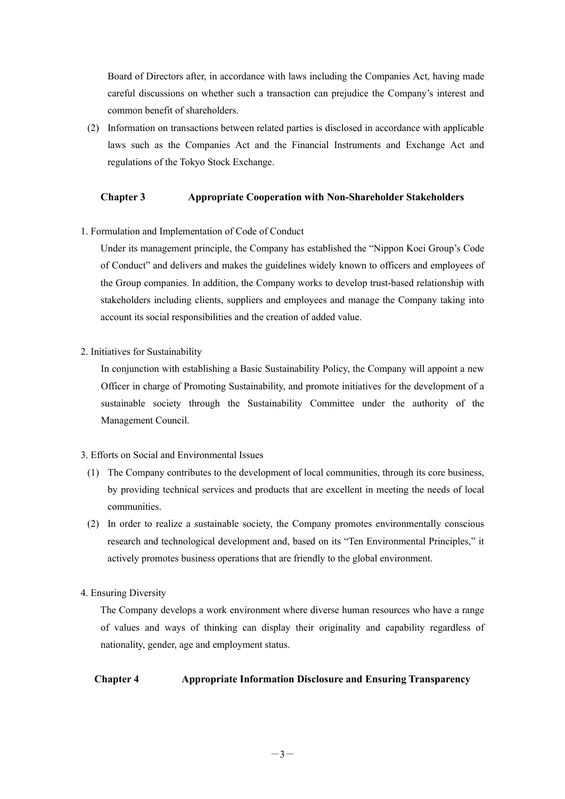Board of Directors after, in accordance with laws including the Companies Act, having made careful discussions on whether such a transaction can prejudice the Company's interest and common benefit of shareholders.

(2) Information on transactions between related parties is disclosed in accordance with applicable laws such as the Companies Act and the Financial Instruments and Exchange Act and regulations of the Tokyo Stock Exchange.

## **Chapter 3 Appropriate Cooperation with Non-Shareholder Stakeholders**

1. Formulation and Implementation of Code of Conduct

Under its management principle, the Company has established the "Nippon Koei Group's Code of Conduct" and delivers and makes the guidelines widely known to officers and employees of the Group companies. In addition, the Company works to develop trust-based relationship with stakeholders including clients, suppliers and employees and manage the Company taking into account its social responsibilities and the creation of added value.

2. Initiatives for Sustainability

In conjunction with establishing a Basic Sustainability Policy, the Company will appoint a new Officer in charge of Promoting Sustainability, and promote initiatives for the development of a sustainable society through the Sustainability Committee under the authority of the Management Council.

## 3. Efforts on Social and Environmental Issues

- (1) The Company contributes to the development of local communities, through its core business, by providing technical services and products that are excellent in meeting the needs of local communities.
- (2) In order to realize a sustainable society, the Company promotes environmentally conscious research and technological development and, based on its "Ten Environmental Principles," it actively promotes business operations that are friendly to the global environment.
- 4. Ensuring Diversity

The Company develops a work environment where diverse human resources who have a range of values and ways of thinking can display their originality and capability regardless of nationality, gender, age and employment status.

**Chapter 4 Appropriate Information Disclosure and Ensuring Transparency**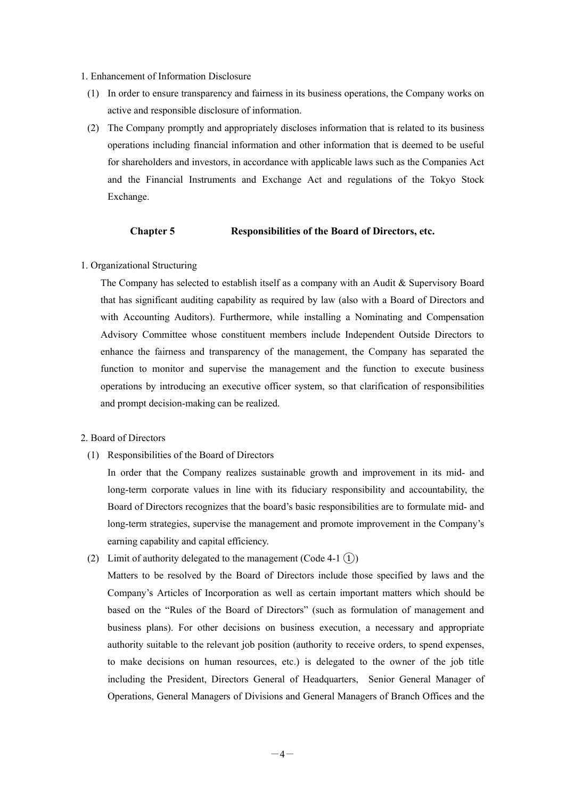#### 1. Enhancement of Information Disclosure

- (1) In order to ensure transparency and fairness in its business operations, the Company works on active and responsible disclosure of information.
- (2) The Company promptly and appropriately discloses information that is related to its business operations including financial information and other information that is deemed to be useful for shareholders and investors, in accordance with applicable laws such as the Companies Act and the Financial Instruments and Exchange Act and regulations of the Tokyo Stock Exchange.

### **Chapter 5 Responsibilities of the Board of Directors, etc.**

### 1. Organizational Structuring

The Company has selected to establish itself as a company with an Audit & Supervisory Board that has significant auditing capability as required by law (also with a Board of Directors and with Accounting Auditors). Furthermore, while installing a Nominating and Compensation Advisory Committee whose constituent members include Independent Outside Directors to enhance the fairness and transparency of the management, the Company has separated the function to monitor and supervise the management and the function to execute business operations by introducing an executive officer system, so that clarification of responsibilities and prompt decision-making can be realized.

## 2. Board of Directors

(1) Responsibilities of the Board of Directors

In order that the Company realizes sustainable growth and improvement in its mid- and long-term corporate values in line with its fiduciary responsibility and accountability, the Board of Directors recognizes that the board's basic responsibilities are to formulate mid- and long-term strategies, supervise the management and promote improvement in the Company's earning capability and capital efficiency.

(2) Limit of authority delegated to the management (Code 4-1  $(1)$ )

Matters to be resolved by the Board of Directors include those specified by laws and the Company's Articles of Incorporation as well as certain important matters which should be based on the "Rules of the Board of Directors" (such as formulation of management and business plans). For other decisions on business execution, a necessary and appropriate authority suitable to the relevant job position (authority to receive orders, to spend expenses, to make decisions on human resources, etc.) is delegated to the owner of the job title including the President, Directors General of Headquarters, Senior General Manager of Operations, General Managers of Divisions and General Managers of Branch Offices and the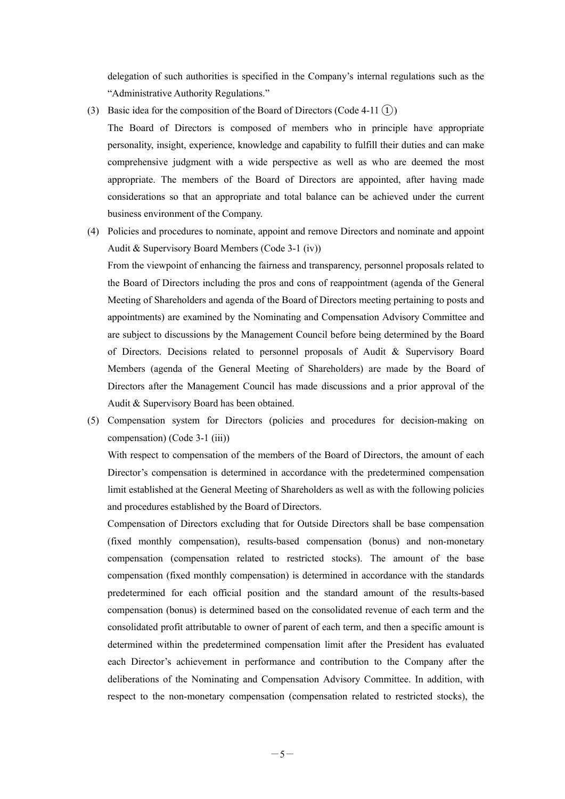delegation of such authorities is specified in the Company's internal regulations such as the "Administrative Authority Regulations."

(3) Basic idea for the composition of the Board of Directors (Code 4-11  $(1)$ )

The Board of Directors is composed of members who in principle have appropriate personality, insight, experience, knowledge and capability to fulfill their duties and can make comprehensive judgment with a wide perspective as well as who are deemed the most appropriate. The members of the Board of Directors are appointed, after having made considerations so that an appropriate and total balance can be achieved under the current business environment of the Company.

(4) Policies and procedures to nominate, appoint and remove Directors and nominate and appoint Audit & Supervisory Board Members (Code 3-1 (iv))

From the viewpoint of enhancing the fairness and transparency, personnel proposals related to the Board of Directors including the pros and cons of reappointment (agenda of the General Meeting of Shareholders and agenda of the Board of Directors meeting pertaining to posts and appointments) are examined by the Nominating and Compensation Advisory Committee and are subject to discussions by the Management Council before being determined by the Board of Directors. Decisions related to personnel proposals of Audit & Supervisory Board Members (agenda of the General Meeting of Shareholders) are made by the Board of Directors after the Management Council has made discussions and a prior approval of the Audit & Supervisory Board has been obtained.

(5) Compensation system for Directors (policies and procedures for decision-making on compensation) (Code 3-1 (iii))

With respect to compensation of the members of the Board of Directors, the amount of each Director's compensation is determined in accordance with the predetermined compensation limit established at the General Meeting of Shareholders as well as with the following policies and procedures established by the Board of Directors.

Compensation of Directors excluding that for Outside Directors shall be base compensation (fixed monthly compensation), results-based compensation (bonus) and non-monetary compensation (compensation related to restricted stocks). The amount of the base compensation (fixed monthly compensation) is determined in accordance with the standards predetermined for each official position and the standard amount of the results-based compensation (bonus) is determined based on the consolidated revenue of each term and the consolidated profit attributable to owner of parent of each term, and then a specific amount is determined within the predetermined compensation limit after the President has evaluated each Director's achievement in performance and contribution to the Company after the deliberations of the Nominating and Compensation Advisory Committee. In addition, with respect to the non-monetary compensation (compensation related to restricted stocks), the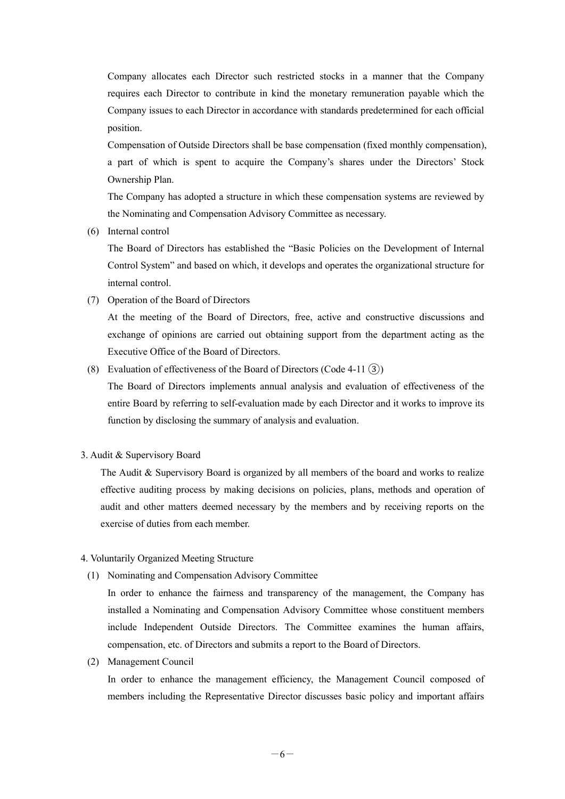Company allocates each Director such restricted stocks in a manner that the Company requires each Director to contribute in kind the monetary remuneration payable which the Company issues to each Director in accordance with standards predetermined for each official position.

Compensation of Outside Directors shall be base compensation (fixed monthly compensation), a part of which is spent to acquire the Company's shares under the Directors' Stock Ownership Plan.

The Company has adopted a structure in which these compensation systems are reviewed by the Nominating and Compensation Advisory Committee as necessary.

(6) Internal control

The Board of Directors has established the "Basic Policies on the Development of Internal Control System" and based on which, it develops and operates the organizational structure for internal control.

(7) Operation of the Board of Directors

At the meeting of the Board of Directors, free, active and constructive discussions and exchange of opinions are carried out obtaining support from the department acting as the Executive Office of the Board of Directors.

(8) Evaluation of effectiveness of the Board of Directors (Code 4-11  $(3)$ )

The Board of Directors implements annual analysis and evaluation of effectiveness of the entire Board by referring to self-evaluation made by each Director and it works to improve its function by disclosing the summary of analysis and evaluation.

3. Audit & Supervisory Board

The Audit & Supervisory Board is organized by all members of the board and works to realize effective auditing process by making decisions on policies, plans, methods and operation of audit and other matters deemed necessary by the members and by receiving reports on the exercise of duties from each member.

- 4. Voluntarily Organized Meeting Structure
	- (1) Nominating and Compensation Advisory Committee

In order to enhance the fairness and transparency of the management, the Company has installed a Nominating and Compensation Advisory Committee whose constituent members include Independent Outside Directors. The Committee examines the human affairs, compensation, etc. of Directors and submits a report to the Board of Directors.

(2) Management Council

In order to enhance the management efficiency, the Management Council composed of members including the Representative Director discusses basic policy and important affairs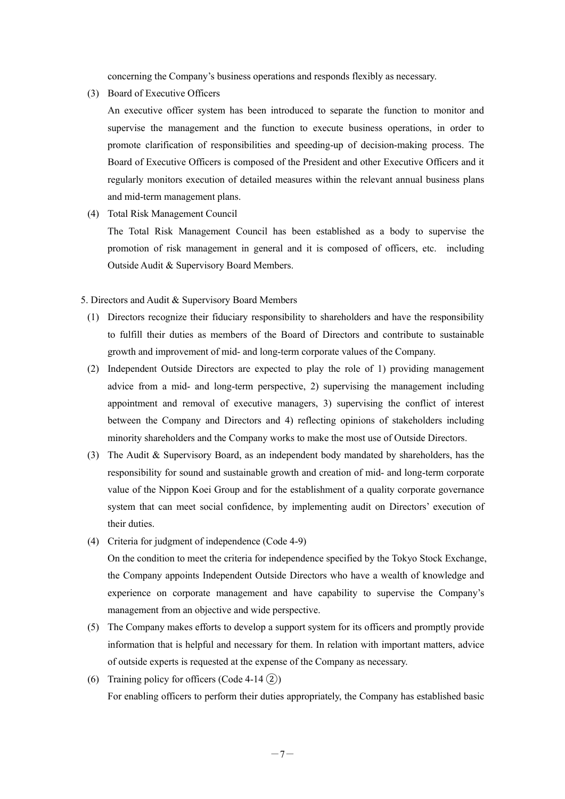concerning the Company's business operations and responds flexibly as necessary.

(3) Board of Executive Officers

An executive officer system has been introduced to separate the function to monitor and supervise the management and the function to execute business operations, in order to promote clarification of responsibilities and speeding-up of decision-making process. The Board of Executive Officers is composed of the President and other Executive Officers and it regularly monitors execution of detailed measures within the relevant annual business plans and mid-term management plans.

(4) Total Risk Management Council

The Total Risk Management Council has been established as a body to supervise the promotion of risk management in general and it is composed of officers, etc. including Outside Audit & Supervisory Board Members.

5. Directors and Audit & Supervisory Board Members

- (1) Directors recognize their fiduciary responsibility to shareholders and have the responsibility to fulfill their duties as members of the Board of Directors and contribute to sustainable growth and improvement of mid- and long-term corporate values of the Company.
- (2) Independent Outside Directors are expected to play the role of 1) providing management advice from a mid- and long-term perspective, 2) supervising the management including appointment and removal of executive managers, 3) supervising the conflict of interest between the Company and Directors and 4) reflecting opinions of stakeholders including minority shareholders and the Company works to make the most use of Outside Directors.
- (3) The Audit & Supervisory Board, as an independent body mandated by shareholders, has the responsibility for sound and sustainable growth and creation of mid- and long-term corporate value of the Nippon Koei Group and for the establishment of a quality corporate governance system that can meet social confidence, by implementing audit on Directors' execution of their duties.
- (4) Criteria for judgment of independence (Code 4-9) On the condition to meet the criteria for independence specified by the Tokyo Stock Exchange, the Company appoints Independent Outside Directors who have a wealth of knowledge and experience on corporate management and have capability to supervise the Company's

management from an objective and wide perspective.

- (5) The Company makes efforts to develop a support system for its officers and promptly provide information that is helpful and necessary for them. In relation with important matters, advice of outside experts is requested at the expense of the Company as necessary.
- (6) Training policy for officers (Code 4-14  $(2)$ ) For enabling officers to perform their duties appropriately, the Company has established basic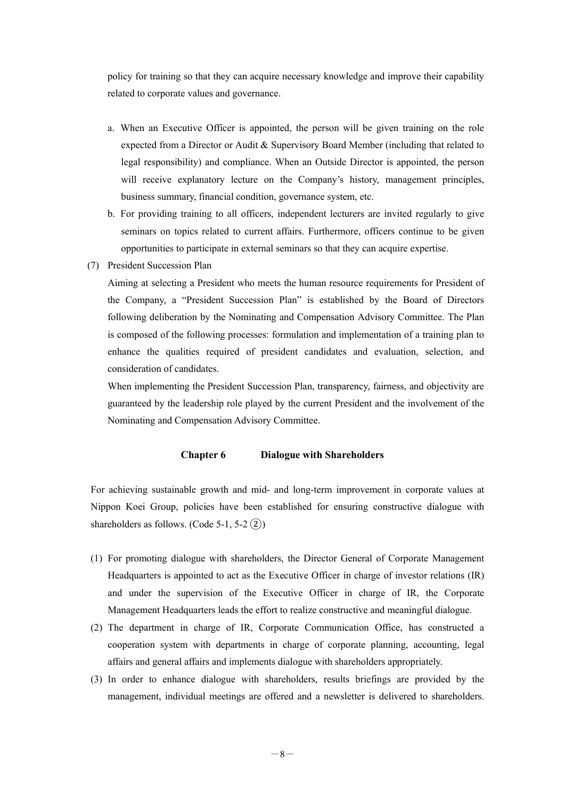policy for training so that they can acquire necessary knowledge and improve their capability related to corporate values and governance.

- a. When an Executive Officer is appointed, the person will be given training on the role expected from a Director or Audit & Supervisory Board Member (including that related to legal responsibility) and compliance. When an Outside Director is appointed, the person will receive explanatory lecture on the Company's history, management principles, business summary, financial condition, governance system, etc.
- b. For providing training to all officers, independent lecturers are invited regularly to give seminars on topics related to current affairs. Furthermore, officers continue to be given opportunities to participate in external seminars so that they can acquire expertise.
- (7) President Succession Plan

Aiming at selecting a President who meets the human resource requirements for President of the Company, a "President Succession Plan" is established by the Board of Directors following deliberation by the Nominating and Compensation Advisory Committee. The Plan is composed of the following processes: formulation and implementation of a training plan to enhance the qualities required of president candidates and evaluation, selection, and consideration of candidates.

When implementing the President Succession Plan, transparency, fairness, and objectivity are guaranteed by the leadership role played by the current President and the involvement of the Nominating and Compensation Advisory Committee.

### **Chapter 6 Dialogue with Shareholders**

For achieving sustainable growth and mid- and long-term improvement in corporate values at Nippon Koei Group, policies have been established for ensuring constructive dialogue with shareholders as follows. (Code 5-1, 5-2 $(2)$ )

- (1) For promoting dialogue with shareholders, the Director General of Corporate Management Headquarters is appointed to act as the Executive Officer in charge of investor relations (IR) and under the supervision of the Executive Officer in charge of IR, the Corporate Management Headquarters leads the effort to realize constructive and meaningful dialogue.
- (2) The department in charge of IR, Corporate Communication Office, has constructed a cooperation system with departments in charge of corporate planning, accounting, legal affairs and general affairs and implements dialogue with shareholders appropriately.
- (3) In order to enhance dialogue with shareholders, results briefings are provided by the management, individual meetings are offered and a newsletter is delivered to shareholders.